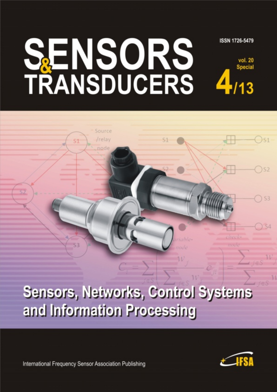## **SENSORS**<br>TRANSDUCERS ISSN 1726-5479 vol. 20 **Special**

Source /relay

# Sensors, Networks, Control Systems and Information Processing

International Frequency Sensor Association Publishing



 $)$  S<sub>2</sub>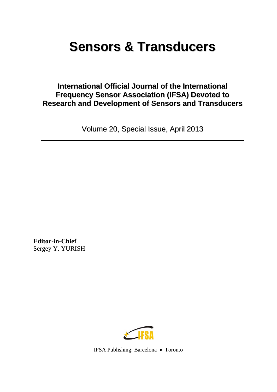## **Sensors & Transducers**

### **International Official Journal of the International Frequency Sensor Association (IFSA) Devoted to Research and Development of Sensors and Transducers**

Volume 20, Special Issue, April 2013

**Editor-in-Chief**  Sergey Y. YURISH



IFSA Publishing: Barcelona Toronto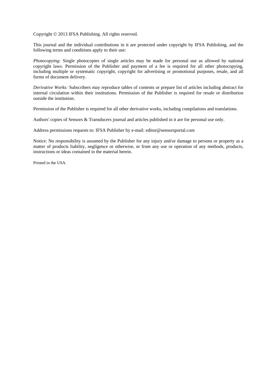Copyright  $\odot$  2013 IFSA Publishing. All rights reserved.

This journal and the individual contributions in it are protected under copyright by IFSA Publishing, and the following terms and conditions apply to their use:

*Photocopying:* Single photocopies of single articles may be made for personal use as allowed by national copyright laws. Permission of the Publisher and payment of a fee is required for all other photocopying, including multiple or systematic copyright, copyright for advertising or promotional purposes, resale, and all forms of document delivery.

*Derivative Works:* Subscribers may reproduce tables of contents or prepare list of articles including abstract for internal circulation within their institutions. Permission of the Publisher is required for resale or distribution outside the institution.

Permission of the Publisher is required for all other derivative works, including compilations and translations.

Authors' copies of Sensors & Transducers journal and articles published in it are for personal use only.

Address permissions requests to: IFSA Publisher by e-mail: editor@sensorsportal.com

Notice: No responsibility is assumed by the Publisher for any injury and/or damage to persons or property as a matter of products liability, negligence or otherwise, or from any use or operation of any methods, products, instructions or ideas contained in the material herein.

Printed in the USA.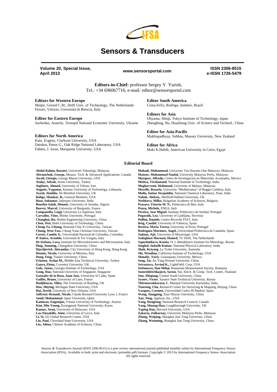

### **Sensors & Transducers**

**Volume 20, Special Issue, April 2013 www.sensorsportal.com ISSN 2306-8515** 

**e-ISSN 1726-5479** 

**Editors-in-Chief:** professor Sergey Y. Yurish, Tel.: +34 696067716, e-mail: editor@sensorsportal.com

**Editors for Western Europe**  Meijer, Gerard C.M., Delft Univ. of Technology, The Netherlands Ferrari, Vittorio, Universitá di Brescia, Italy

#### **Editor for Eastern Europe**

Sachenko, Anatoly, Ternopil National Economic University, Ukraine

#### **Editors for North America**

Katz, Evgeny, Clarkson University, USA Datskos, Panos G., Oak Ridge National Laboratory, USA Fabien, J. Josse, Marquette University, USA

**Editor South America**  Costa-Felix, Rodrigo, Inmetro, Brazil

**Editors for Asia**  Ohyama, Shinji, Tokyo Institute of Technology, Japan Zhengbing, Hu, Huazhong Univ. of Science and Technol., China

**Editor for Asia-Pacific**  Mukhopadhyay, Subhas, Massey University, New Zealand

**Editor for Africa**  Maki K.Habib, American University in Cairo, Egypt

#### **Editorial Board**

**Abdul Rahim, Ruzairi,** Universiti Teknologi, Malaysia **Abramchuk, George,** Measur. Tech. & Advanced Applications, Canada **Ascoli, Giorgio,** George Mason University, USA **Atalay, Selcuk,** Inonu University, Turkey **Atghiaee, Ahmad,** University of Tehran, Iran **Augutis, Vygantas**, Kaunas University of Technology, Lithuania **Ayesh, Aladdin**, De Montfort University, UK **Baliga, Shankar, B.,** General Monitors, USA **Basu, Sukumar,** Jadavpur University, India **Bousbia-Salah, Mounir,** University of Annaba, Algeria **Bouvet, Marcel,** University of Burgundy, France **Campanella, Luigi,** University La Sapienza, Italy **Carvalho, Vitor,** Minho University, Portugal **Changhai, Ru,** Harbin Engineering University, China **Chen, Wei,** Hefei University of Technology, China **Cheng-Ta, Chiang,** National Chia-Yi University, Taiwan **Chung, Wen-Yaw,** Chung Yuan Christian University, Taiwan **Cortes, Camilo A.**, Universidad Nacional de Colombia, Colombia **D'Amico, Arnaldo,** Università di Tor Vergata, Italy **De Stefano, Luca,** Institute for Microelectronics and Microsystem, Italy **Ding, Jianning,** Changzhou University, China **Djordjevich, Alexandar,** City University of Hong Kong, Hong Kong **Donato, Nicola,** University of Messina, Italy **Dong, Feng,** Tianjin University, China **Erkmen, Aydan M.,** Middle East Technical University, Turkey **Gaura, Elena,** Coventry University, UK **Gole, James,** Georgia Institute of Technology, USA **Gong, Hao,** National University of Singapore, Singapore **Gonzalez de la Rosa, Juan Jose,** University of Cadiz, Spain **Guillet, Bruno,** University of Caen, France **Hadjiloucas, Sillas,** The University of Reading, UK **Hao, Shiying,** Michigan State University, USA **Hui, David,** University of New Orleans, USA **Jaffrezic-Renault, Nicole,** Claude Bernard University Lyon 1, France **Jamil, Mohammad**, Qatar University, Qatar **Kaniusas, Eugenijus,** Vienna University of Technology, Austria **Kim, Min Young,** Kyungpook National University, Korea **Kumar, Arun,** University of Delaware, USA **Lay-Ekuakille, Aime,** University of Lecce, Italy **Li, Si,** GE Global Research Center, USA **Lin, Paul**, Cleveland State University, USA **Liu, Aihua,** Chinese Academy of Sciences, China

**Mahadi, Muhammad,** University Tun Hussein Onn Malaysia, Malaysia **Mansor, Muhammad Naufal,** University Malaysia Perlis, Malaysia **Marquez, Alfredo,** Centro de Investigacion en Materiales Avanzados, Mexico **Mishra, Vivekanand**, National Institute of Technology, India **Moghavvemi, Mahmoud,** University of Malaya, Malaysia **Morello, Rosario,** University "Mediterranea" of Reggio Calabria, Italy **Mulla, Imtiaz Sirajuddin,** National Chemical Laboratory, Pune, India **Nabok, Aleksey,** Sheffield Hallam University, UK **Neshkova, Milka**, Bulgarian Academy of Sciences, Bulgaria **Passaro, Vittorio M. N.,** Politecnico di Bari, Italy **Penza, Michele,** ENEA, Italy **Pereira, Jose Miguel**, Instituto Politecnico de Setebal, Portugal **Pogacnik, Lea**, University of Ljubljana, Slovenia **Pullini, Daniele,** Centro Ricerche FIAT, Italy **Reig, Candid**, University of Valencia, Spain **Restivo, Maria Teresa,** University of Porto, Portugal **Rodríguez Martínez, Angel,** Universidad Politécnica de Cataluña, Spain **Sadana, Ajit**, University of Mississippi, USA **Sadeghian Marnani, Hamed,** TU Delft, The Netherlands **Sapozhnikova, Ksenia**, D. I. Mendeleyev Institute for Metrology, Russia **Singhal, Subodh Kumar**, National Physical Laboratory, India **Shah, Kriyang**, La Trobe University, Australia **Shi, Wendian,** California Institute of Technology, USA **Shmaliy, Yuriy**, Guanajuato University, Mexico **Song, Xu,** An Yang Normal University, China **Srivastava, Arvind K.,** LightField, Corp, USA **Stefanescu, Dan Mihai,** Romanian Measurement Society, Romania **Sumriddetchkajorn, Sarun,** Nat. Electr. & Comp. Tech. Center, Thailand **Sun, Zhiqiang,** Central South University, China **Sysoev, Victor**, Saratov State Technical University, Russia **Thirunavukkarasu, I**., Manipal University Karnataka, India **Tianxing, Chu,** Research Center for Surveying & Mapping, Beijing, China **Vazquez, Carmen,** Universidad Carlos III Madrid, Spain **Wang, Jiangping,** Xian Shiyou University, China **Xue, Ning,** Agiltron, Inc., USA **Yang, Dongfang,** National Research Council, Canada **Yang, Shuang-Hua,** Loughborough University, UK **Yaping Dan,** Harvard University, USA **Zakaria, Zulkarnay,** University Malaysia Perlis, Malaysia **Zhang, Weiping,** Shanghai Jiao Tong University, China **Zhang, Wenming,** Shanghai Jiao Tong University, China

Sensors & Transducers Journal (ISSN 2306-8515) is a peer review international journal published monthly online by International Frequency Sensor Association (IFSA). Available in both: print and electronic (printable pdf) formats. Copyright © 2013 by International Frequency Sensor Association. All rights reserved.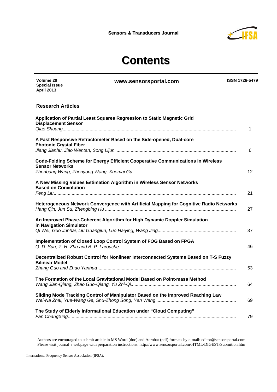

## **Contents**

**www.sensorsportal.com ISSN 1726-5479** 

| <b>April 2013</b>                                                                                             |    |
|---------------------------------------------------------------------------------------------------------------|----|
| <b>Research Articles</b>                                                                                      |    |
| Application of Partial Least Squares Regression to Static Magnetic Grid<br><b>Displacement Sensor</b>         | 1  |
| A Fast Responsive Refractometer Based on the Side-opened, Dual-core<br><b>Photonic Crystal Fiber</b>          | 6  |
| Code-Folding Scheme for Energy Efficient Cooperative Communications in Wireless<br><b>Sensor Networks</b>     | 12 |
| A New Missing Values Estimation Algorithm in Wireless Sensor Networks<br><b>Based on Convolution</b>          | 21 |
| Heterogeneous Network Convergence with Artificial Mapping for Cognitive Radio Networks                        | 27 |
| An Improved Phase-Coherent Algorithm for High Dynamic Doppler Simulation<br>in Navigation Simulator           | 37 |
| Implementation of Closed Loop Control System of FOG Based on FPGA                                             | 46 |
| Decentralized Robust Control for Nonlinear Interconnected Systems Based on T-S Fuzzy<br><b>Bilinear Model</b> | 53 |
| The Formation of the Local Gravitational Model Based on Point-mass Method                                     | 64 |
| Sliding Mode Tracking Control of Manipulator Based on the Improved Reaching Law                               | 69 |
| The Study of Elderly Informational Education under "Cloud Computing"                                          | 79 |

Authors are encouraged to submit article in MS Word (doc) and Acrobat (pdf) formats by e-mail: editor@sensorsportal.com Please visit journal's webpage with preparation instructions: http://www.sensorsportal.com/HTML/DIGEST/Submition.htm

**Volume 20 Special Issue**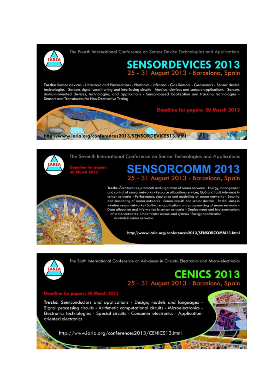The Fourth International Conference on Sensor Device Technologies and Applications



## SENSORDEVICES 2013<br>25 - 31 August 2013 - Barcelona, Spain

Tracks: Sensor devices - Ultrasonic and Piezosensors - Photonics - Infrared - Gas Sensors - Geosensors - Sensor device technologies - Sensors signal conditioning and interfacing circuits - Medical devices and sensors applications - Sensors domain-oriented devices, technologies, and applications - Sensor-based localization and tracking technologies -Sensors and Transducers for Non-Destructive Testing



The Seventh International Conference on Sensor Technologies and Applications

## ENSORCOMM 2013 25 - 31 August 2013 - Barcelona, Spain



Tracks: Architectures, protocols and algorithms of sensor networks - Energy, management and control of sensor networks - Resource allocation, services, QoS and fault tolerance in sensor networks - Performance, simulation and modelling of sensor networks - Security and monitoring of sensor networks - Sensor circuits and sensor devices - Radio issues in wireless sensor networks - Software, applications and programming of sensor networks -Data allocation and information in sensor networks - Deployments and implementations of sensor networks - Under water sensors and systems - Energy optimization in wireless sensor networks

http://www.iaria.org/conferences2013/SENSORCOMM13.html



The Sixth International Conference on Advances in Circuits, Electronics and Micro-electronics

### **CENICS 2013** 25 - 31 August 2013 - Barcelona, Spain

### dline for papers: 30 March 2013

Tracks: Semiconductors and applications - Design, models and languages -Signal processing circuits - Arithmetic computational circuits - Microelectronics -Electronics technologies - Special circuits - Consumer electronics - Applicationoriented electronics

http://www.iaria.org/conferences2013/CENICS13.html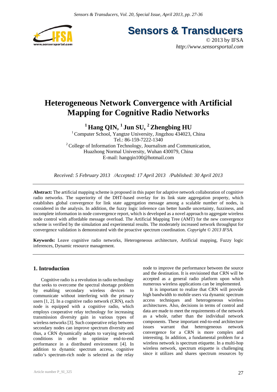

**Sensors & Transducers** 

© 2013 by IFSA *http://www.sensorsportal.com*

### **Heterogeneous Network Convergence with Artificial Mapping for Cognitive Radio Networks**

## **1 Hang QIN, 1 Jun SU, 2 Zhengbing HU**

<sup>1</sup> Computer School, Yangtze University, Jingzhou  $434023$ , China Tel.: 86-159-7222-1340 2 College of Information Technology, Journalism and Communication, Huazhong Normal University, Wuhan 430079, China E-mail: hangqin100@hotmail.com

*Received: 5 February 2013 /Accepted: 17 April 2013 /Published: 30 April 2013* 

**Abstract:** The artificial mapping scheme is proposed in this paper for adaptive network collaboration of cognitive radio networks. The superiority of the DHT-based overlay for its link state aggregation property, which establishes global convergence for link state aggregation message among a scalable number of nodes, is considered in the analysis. In addition, the fuzzy logic inference can better handle uncertainty, fuzziness, and incomplete information in node convergence report, which is developed as a novel approach to aggregate wireless node control with affordable message overload. The Artificial Mapping Tree (AMT) for the new convergence scheme is verified by the simulation and experimental results. The moderately increased network throughput for convergence validation is demonstrated with the proactive spectrum coordination. *Copyright © 2013 IFSA.*

**Keywords:** Leave cognitive radio networks, Heterogeneous architecture, Artificial mapping, Fuzzy logic inferences, Dynamic resource management.

#### **1. Introduction**

Cognitive radio is a revolution in radio technology that seeks to overcome the spectral shortage problem by enabling secondary wireless devices to communicate without interfering with the primary users [1, 2]. In a cognitive radio network (CRN), each node is equipped with a cognitive radio, which employs cooperative relay technology for increasing transmission diversity gain in various types of wireless networks [3]. Such cooperative relay between secondary nodes can improve spectrum diversity and thus, a CRN dynamically adapts to varying network conditions in order to optimize end-to-end performance in a distributed environment [4]. In addition to dynamic spectrum access, cognitive radio's spectrum-rich node is selected as the relay node to improve the performance between the source and the destination. It is envisioned that CRN will be accepted as a general radio platform upon which numerous wireless applications can be implemented.

It is important to realize that CRN will provide high bandwidth to mobile users via dynamic spectrum access techniques and heterogeneous wireless architectures. Also, decisions in terms of control and data are made to meet the requirements of the network as a whole, rather than the individual network components. These important end-to-end architecture issues warrant that heterogeneous network convergence for a CRN is more complex and interesting. In addition, a fundamental problem for a wireless network is spectrum etiquette. In a multi-hop wireless network, spectrum etiquette is challenging since it utilizes and shares spectrum resources by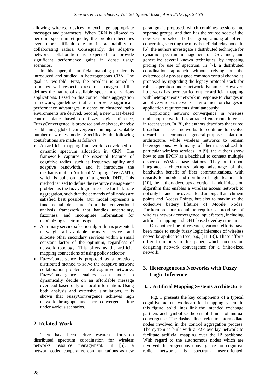allowing wireless devices to exchange appropriate messages and parameters. When CRN is allowed to perform spectrum etiquette, the problem becomes even more difficult due to its adaptability of collaborating radios. Consequently, the adaptive network collaboration is expected to provide significant performance gains in dense usage scenarios.

In this paper, the artificial mapping problem is introduced and studied in heterogeneous CRN. The goal is two-fold. First, the problem is aimed to formalize with respect to resource management that defines the nature of available spectrum of various applications. Based on this control plane aggregation framework, guidelines that can provide significant performance advantages in dense or clustered radio environments are derived. Second, a new DHT-based control plane based on fuzzy logic inference, FuzzyConvergence, is proposed and analyzed, thereby establishing global convergence among a scalable number of wireless nodes. Specifically, the following contributions are made as follows:

- An artificial mapping framework is developed for dynamic spectrum allocation in CRN. The framework captures the essential features of cognitive radios, such as frequency agility and adaptive bandwidth, and it introduces the mechanism of an Artificial Mapping Tree (AMT), which is built on top of a generic DHT. This method is used to define the resource management problem as the fuzzy logic inference for link state aggregation, such that the demands of all nodes are satisfied best possible. Our model represents a fundamental departure from the conventional analysis framework that handles uncertainty, fuzziness, and incomplete information for maximizing spectrum usage.
- A primary service selection algorithm is presented, it weight all available primary services and allocate other secondary services within a small constant factor of the optimum, regardless of network topology. This offers us the artificial mapping connections of using policy selector.
- FuzzyConvergence is proposed as a practical, distributed method to solve the adaptive network collaboration problem in real cognitive networks. FuzzyConvergence enables each node to dynamically decide on an affordable message overhead based only on local information. Using both analysis and extensive simulations, it is shown that FuzzyConvergence achieves high network throughput and short convergence time under various scenarios.

#### **2. Related Work**

There have been active research efforts on distributed spectrum coordination for wireless networks resource management. In [5], a network-coded cooperative communications as new paradigm is proposed, which combines sessions into separate groups, and then has the source node of the new session select the best group among all offers, concerning selecting the most beneficial relay node. In [6], the authors investigate a distributed technique for dynamic spectrum management of DSL lines, and generalize several known techniques, by imposing pricing for use of spectrum. In [7], a distributed coordination approach without relying on the existence of a pre-assigned common control channel is proposed by upgrading the legacy protocol stack for robust operation under network dynamics. However, little work has been carried out for artificial mapping with heterogeneous network in response to changes in adaptive wireless networks environment or changes in application requirements simultaneously.

Exploiting network convergence in wireless multi-hop networks has attracted enormous interests in recent years. In [8], the authors describes that wired broadband access networks to continue to evolve toward a common general-purpose platform architecture, while wireless networks to remain heterogeneous, with many of them specialized to particular wireless services. In [9], the authors show how to use EPON as a backhaul to connect multiple dispersed WiMax base stations. They built upon integrated architectures taking advantage of the bandwidth benefit of fiber communications, with regards to mobile and non-line-of-sight features. In [10], the authors develops a vertical handoff decision algorithm that enables a wireless access network to not only balance the overall load among all attachment points and Access Points, but also to maximize the collective battery lifetime of Mobile Nodes. Furthermore, our technique requires a broad set of wireless network convergence input factors, including artificial mapping and DHT-based overlay structure.

On another line of research, various efforts have been made to study fuzzy logic inference of wireless networks application (see, *e.g.*, [11-13]). These efforts differ from ours in this paper, which focuses on designing network convergence for a finite-sized network.

#### **3. Heterogeneous Networks with Fuzzy Logic Inference**

#### **3.1. Artificial Mapping Systems Architecture**

Fig. 1 presents the key components of a typical cognitive radio networks artificial mapping system. In this figure, solid lines link the intended exchange partners and symbolize the establishment of mutual convergence. The dashed lines refer to intermediate nodes involved in the control aggregation process. The system is built with a P2P overlay network to facilitate artificial mapping over the IP backbone. With regard to the autonomous nodes which are involved, heterogeneous convergence for cognitive radio networks is spectrum user-oriented.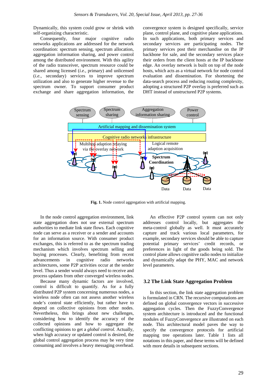Dynamically, this system could grow or shrink with self-organizing characteristic.

Consequently, four major cognitive radio networks applications are addressed for the network coordination: spectrum sensing, spectrum allocation, aggregation information sharing, and power control among the distributed environment. With this agility of the radio transceiver, spectrum resource could be shared among licensed (*i.e.*, primary) and unlicensed (*i.e.*, secondary) services to improve spectrum utilization and also to generate higher revenue to the spectrum owner. To support consumer product exchange and share aggregation information, the

convergence system is designed specifically, service plane, control plane, and cognitive plane applications. In such applications, both primary services and secondary services are participating nodes. The primary services post their merchandise on the IP backbone for sale, and the secondary services place their orders from the client hosts at the IP backbone edge. An overlay network is built on top of the node hosts, which acts as a virtual network for node control evaluation and dissemination. For shortening the data-search process and reducing routing complexity, adopting a structured P2P overlay is preferred such as DHT instead of unstructured P2P systems.



**Fig. 1.** Node control aggregation with artificial mapping.

In the node control aggregation environment, link state aggregation does not use external spectrum authorities to mediate link state flows. Each cognitive node can serve as a receiver or a sender and accounts for an information source. With consumer product exchanges, this is referred to as the spectrum trading mechanism which involves spectrum selling and buying processes. Clearly, benefiting from recent advancements in cognitive radio networks architectures, some P2P activities occur at the sender level. Thus a sender would always need to receive and process updates from other converged wireless nodes.

Because many dynamic factors are involved, control is difficult to quantify. As for a fully distributed P2P system concerning numerous nodes, a wireless node often can not assess another wireless node's control state efficiently, but rather have to depend on collective opinions from other nodes. Nevertheless, this brings about new challenges, considering how to identify the accuracy of the collected opinions and how to aggregate the conflicting opinions to get a *global control*. Actually, when high accuracy or updated control is desired, the global control aggregation process may be very time consuming and involves a heavy messaging overhead.

An effective P2P control system can not only addresses control locally, but aggregates the meta-control globally as well. It must accurately capture and track various local parameters, for example, secondary services should be able to capture potential primary services' credit records, or preferences in light of the goods being sold. The control plane allows cognitive radio nodes to initialize and dynamically adapt the PHY, MAC and network level parameters.

#### **3.2 The Link State Aggregation Problem**

In this section, the link state aggregation problem is formulated in CRN. The recursive computations are defined on global convergence vectors in successive aggregation cycles. Then the FuzzyConvergence system architecture is introduced and the functional modules of FuzzyConvergence are illustrated on each node. This architectural model paves the way to specify the convergence protocols for artificial mapping tree operations later. Table 1 lists all notations in this paper, and these terms will be defined with more details in subsequent sections.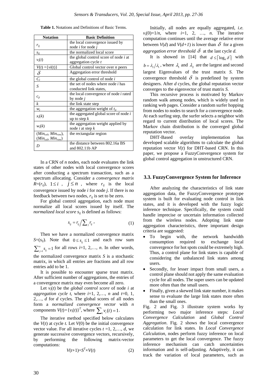| <b>Notation</b>                                       | <b>Basic Definition</b>                                             |
|-------------------------------------------------------|---------------------------------------------------------------------|
| $r_{ij}$                                              | the local convergence issued by<br>node <i>i</i> for node <i>j</i>  |
| $S_{ij}$                                              | the normalized local score                                          |
| $v_i(t)$                                              | the global control score of node <i>i</i> at<br>aggregation cycle t |
| $V(t) = \{vi(t)\}\$                                   | Global control vector over <i>n</i> peers                           |
| $\delta$                                              | Aggregation error threshold                                         |
| $\overline{C_i}$                                      | the global control of node $i$                                      |
| S                                                     | the set of nodes where node <i>i</i> has<br>conducted link states,  |
| $c_{ji}$                                              | the local convergence of node <i>i</i> rated<br>by node $i$         |
| k                                                     | the link state step                                                 |
| $W_i$                                                 | the aggregation weight of $t_{ii}$                                  |
| $x_i(k)$                                              | the aggregated global score of node i<br>up to step $k$             |
| $w_i(k)$                                              | the aggregation weight applied by<br>node $i$ at step $k$           |
| $(Min_{col}, Min_{row}),$<br>$(Min_{col}, Min_{row})$ | the rectangular region                                              |
| D                                                     | the distance between 802.16a BS<br>and 802.11b AP                   |

In a CRN of *n* nodes, each node evaluates the link states of other nodes with local convergence scores after conducting a spectrum transaction, such as a spectrum allocating. Consider a *convergence matrix*   $R=(r_{ij})$ ,  $1 \le i$ ,  $j \le n$ , where  $r_{ij}$  is the local convergence issued by node *i* for node *j*. If there is no feedback between two nodes,  $r_{ij}$  is set to be zero.

For global control aggregation, each node must normalize all local scores issued by itself. The *normalized local score s<sub>ij</sub>* is defined as follows:

$$
s_{ij} = r_{ij} / \sum_j r_{ij} \,, \tag{1}
$$

Then we have a normalized convergence matrix *S*=( $s_{ij}$ ). Note that  $0 \le s_{ij} \le 1$  and each row sum  $\sum_{j=1}^{n} s_{ij} = 1$  for all rows *i*=1, 2,..., *n*. In other words, the normalized convergence matrix *S* is a stochastic matrix, in which all entries are fractions and all row entries add to be 1.

It is possible to encounter sparse trust matrix. After sufficient number of aggregations, the entries of a convergence matrix may even become all zero.

Let  $v_i(t)$  be the *global control score* of node *i* at *aggregation cycle t, where*  $i=1, 2,..., n$  *and*  $t=0, 1,$ 2,…, *d* for *d* cycles. The global scores of all nodes form a *normalized convergence vector* with *n*  components  $V(t) = \{v_i(t)\}^T$ , where  $\sum_i v_i(t) = 1$ .

The iterative method specified below calculates the  $V(t)$  at cycle *t*. Let  $V(0)$  be the initial convergence vector value. For all iterative cycles  $t = 1, 2, \ldots, d$ , we generate successive convergence vectors, recursively, by performing the following matrix-vector computations:

$$
V(t+1)=S^T\times V(t) \tag{2}
$$

Initially, all nodes are equally aggregated, *i.e.*  $v_i(0)=1/n$ , where  $i=1, 2, ..., n$ . The iterative computation continues until the average relative error between  $V(d)$  and  $V(d+1)$  is lower than  $\delta$  for a given *aggregation error threshold*  $\delta$  at the last cycle *d*.

It is showed in [14] that  $d \le \lceil \log_b{d} \rceil$  with  $b = \lambda_2/\lambda_1$ , where  $\lambda_1$  and  $\lambda_2$  are the largest and second largest Eigenvalues of the trust matrix *S*. The convergence threshold  $\delta$  is predefined by system designers. After *d* cycles, the global reputation vector converges to the eigenvector of trust matrix *S.* 

This recursive process is motivated by Markov random walk among nodes, which is widely used in ranking web pages. Consider a random surfer hopping from nodes to nodes to search for a convergence node. At each surfing step, the surfer selects a neighbor with regard to current distribution of local scores. The Markov chain distribution is the converged global reputation vector.

DHT-Based overlay implementation has developed scalable algorithms to calculate the global reputation vector *V*(*t*) for DHT-based CRN. In this paper, we propose a FuzzyConvergence system for global control aggregation in unstructured CRN.

#### **3.3. FuzzyConvergence System for Inference**

After analyzing the characteristics of link state aggregation data, the FuzzyConvergence prototype system is built for evaluating node control in link states, and it is developed with the fuzzy logic inference technique. Specifically, the system could handle imprecise or uncertain information collected from the wireless nodes. Adopting link state aggregation characteristics, three important design criteria are suggested:

- To begin with, the network bandwidth consumption required to exchange local convergence for hot spots could be extremely high. Thus, a control plane for link states is capable of considering the unbalanced link states among users.
- Secondly, for lesser impact from small users, a control plane should not apply the same evaluation cycle for all nodes. The super users can be updated more often than the small users.
- Finally, given a skewed link state number, it makes sense to evaluate the large link states more often than the small ones.

Fig. 2 and Fig. 3 illustrate system works by performing two major inference steps: *Local Convergence Calculation* and *Global Control Aggregation*. Fig. 2 shows the local convergence calculation for link states. In *Local Convergence Calculation*, nodes perform fuzzy inference on local parameters to get the local convergence. The fuzzy inference mechanism can catch uncertainties information and is self-adjusting. Adaptively, it can track the variation of local parameters, such as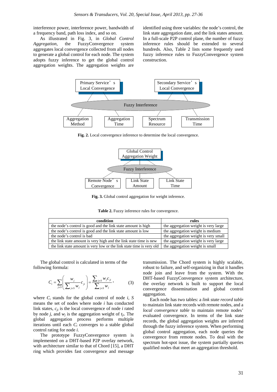interference power, interference power, bandwidth of a frequency band, path loss index, and so on.

As illustrated in Fig. 3, in *Global Control Aggregation*, the FuzzyConvergence system aggregates local convergence collected from all nodes to generate a global control for each node. The system adopts fuzzy inference to get the global control aggregation weights. The aggregation weights are

identified using three variables: the node's control, the link state aggregation date, and the link states amount. In a full-scale P2P control plane, the number of fuzzy inference rules should be extended to several hundreds. Also, Table 2 lists some frequently used fuzzy inference rules to FuzzyConvergence system construction.



**Fig. 2.** Local convergence inference to determine the local convergence.



**Fig. 3.** Global control aggregation for weight inference.

**Table 2.** Fuzzy inference rules for convergence.

| condition                                                            | rules                                |
|----------------------------------------------------------------------|--------------------------------------|
| the node's control is good and the link state amount is high         | the aggregation weight is very large |
| the node's control is good and the link state amount is low          | the aggregation weight is medium     |
| the node's control is bad                                            | the aggregation weight is very small |
| the link state amount is very high and the link state time is new    | the aggregation weight is very large |
| the link state amount is very low or the link state time is very old | the aggregation weight is small      |

The global control is calculated in terms of the following formula:

$$
C_i = \sum_{j \in S} \left( \frac{w_j}{\sum_{j \in S} w_j} c_{ji} \right) = \frac{\sum_{j \in S} w_j c_{ji}}{\sum_{j \in S} w_j}, \tag{3}
$$

where  $C_i$  stands for the global control of node  $i$ ,  $S$ means the set of nodes where node *i* has conducted link states, *cji* is the local convergence of node *i* rated by node *j*, and  $w_i$  is the aggregation weight of  $t_{ii}$ . The global aggregation process performs multiple iterations until each *Ci* converges to a stable global control rating for node *i*.

The prototype FuzzyConvergence system is implemented on a DHT-based P2P overlay network, with architecture similar to that of Chord [15], a DHT ring which provides fast convergence and message

transmission. The Chord system is highly scalable, robust to failure, and self-organizing in that it handles node join and leave from the system. With the DHT-based FuzzyConvergence system architecture, the overlay network is built to support the local convergence dissemination and global control aggregation.

Each node has two tables: a *link state record table*  to maintain link state records with remote nodes, and a *local convergence table* to maintain remote nodes' evaluated convergence. In terms of the link state records, the global aggregation weights are inferred through the fuzzy inference system. When performing global control aggregation, each node queries the convergence from remote nodes. To deal with the spectrum hot-spot issue, the system partially queries qualified nodes that meet an aggregation threshold.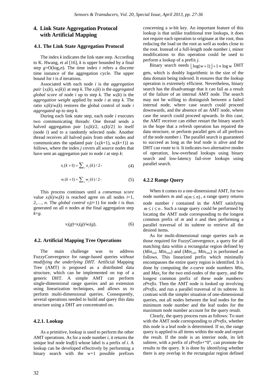#### **4. Link State Aggregation Protocol with Artificial Mapping**

#### **4.1. The Link State Aggregation Protocol**

The index *k* indicates the link state step. According to K. Hwang, et al [16], *k* is upper bounded by a final step  $g=O(log_2n)$ . The time index *t* refers a discrete time instance of the aggregation cycle. The upper bound for *t* is *d* iterations.

Associated with each node *i* is the *aggregation pair*  $\{x_i(k), w_i(k)\}$  at step *k*. The  $x_i(k)$  is the *aggregated global score* of node *i* up to step *k*. The  $w_i(k)$  is the *aggregation weight* applied by node *i* at step *k.* The ratio  $x_i(k)/w_i(k)$  restores the global control of node *i aggregated* up to step *k*.

During each link state step, each node *i* executes two communicating threads: One thread sends a halved aggregation pair  ${x_i(k)/2, x_i(k)/2}$  to itself (node *i*) and to a randomly selected node. Another thread receives all halved pairs from other nodes and communicates the updated pair  ${x_i(k+1), w_i(k+1)}$  as follows, where the index *j* covers all source nodes that have sent an aggregation pair to node *i* at step *k*:

$$
x_i(k+1) = \sum_j x_j(k)/2,
$$
 (4)

$$
w_i(k+1) = \sum_j w_j(k)/2,
$$
 (5)

This process continues until a *consensus score*  value  $x_i(k)/w_i(k)$  is reached agree on all nodes  $i=1$ , 2,..., *n*. The *global control*  $v_i(t+1)$  for node *i* is thus generated on all *n* nodes at the final aggregation step *k*=*g.* 

$$
v_i(g)=x_i(g)/w_i(g),\tag{6}
$$

#### **4.2. Artificial Mapping Tree Operations**

The main challenge was to address FuzzyConvergence for range-based queries *without modifying the underlying DHT*. Artificial Mapping Tree (AMT) is proposed as a distributed data structure, which can be implemented on top of a generic DHT. A simple AMT can perform single-dimensional range queries and an extension using linearization techniques, and allows us to perform multi-dimensional queries. Consequently, several operations needed to build and query this data structure using a DHT are concentrated on.

#### **4.2.1. Lookup**

As a primitive, lookup is used to perform the other AMT operations. As for a node number *i*, it returns the unique leaf node *leaf*(*i*) whose label is a prefix of *i*. A lookup can be developed effectively by performing a binary search with the *w*+1 possible prefixes

concerning a *w*-bit key. An important feature of this lookup is that unlike traditional tree lookups, it does not require each operation to originate at the root, thus reducing the load on the root as well as nodes close to the root. Instead of a full-length node number *i*, minor modifications to this operation could be used to perform a lookup of a prefix *j*.

Binary search needs  $\lfloor \log(w+1) \rfloor + 1 \approx \log w$  DHT

gets, which is doubly logarithmic in the size of the data domain being indexed. It ensures that the lookup operation is extremely efficient. Nevertheless, binary search has the disadvantage that it can fail as a result of the failure of an internal AMT node. The search may not be willing to distinguish between a failed internal node, where case search could proceed downwards, and the absence of an AMT node, where case the search could proceed upwards. In this case, the AMT receiver can either restart the binary search in the hope that a refresh operation has repaired the data structure, or perform parallel gets of all prefixes of the node number *i*. The parallel search is guaranteed to succeed as long as the leaf node is alive and the DHT can route to it. It indicates two alternative modes of operation, low-overhead lookups using binary search and low-latency fail-over lookups using parallel search.

#### **4.2.2 Range Query**

When it comes to a one-dimensional AMT, for two node numbers *m* and  $n(m \le n)$ , a range query returns node number *i* contained in the AMT satisfying  $m \le i \le n$ . Such a range query could be performed by locating the AMT node corresponding to the longest common prefix of *m* and *n* and then performing a parallel traversal of its subtree to retrieve all the desired items.

As for multi-dimensional range queries such as those required for FuzzyConvergence, a query for all matching data within a rectangular region defined by  $(Min_{col}, Min_{row})$  and  $(Min_{col}, Min_{row})$  is performed as follows. This linearized prefix which minimally encompasses the entire query region is identified. It is done by computing the *z*-curve node numbers *Minz* and *Maxz* for the two end-nodes of the query, and the longest common prefix of these node numbers: *zPrefix*. Then the AMT node is looked up involving *zPrefix*, and run a parallel traversal of its subtree. In contrast with the simpler situation of one-dimensional queries, not all nodes between the leaf nodes for the minimum node number and the leaf nodes for the maximum node number account for the query result.

Clearly, the query process runs as follows: To start with the AMT node corresponding to *zPrefix*, whether this node is a leaf node is determined. If so, the range query is applied to all items within the node and report the result. If the node is an interior node, its left subtree, with a prefix of *zPrefix*+"0", can promote the results to the query. It is done by identifying whether there is any overlap in the rectangular region defined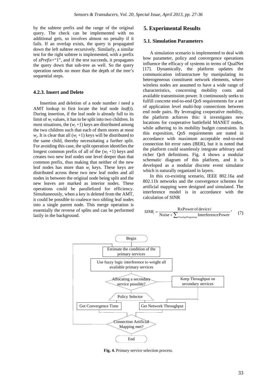by the subtree prefix and the range of the original query. The check can be implemented with no additional gets, so involves almost no penalty if it fails. If an overlap exists, the query is propagated down the left subtree recursively. Similarly, a similar test for the right subtree is implemented, with a prefix of *zPrefix*+"1", and if the test succeeds, it propagates the query down that sub-tree as well. So the query operation needs no more than the depth of the tree's sequential steps.

#### **4.2.3. Insert and Delete**

Insertion and deletion of a node number *i* need a AMT lookup to first locate the leaf node *leaf*(*i*). During insertion, if the leaf node is already full to its limit of *wj* values, it has to be split into two children. In most situations, the  $(w_i+1)$  keys are distributed among the two children such that each of them stores at most  $w_i$ . It is clear that all  $(w_i + 1)$  keys will be distributed to the same child, thereby necessitating a further split. For avoiding this case, the split operation identifies the longest common prefix of all of the  $(w_i +1)$  keys and creates two new leaf nodes one level deeper than that common prefix, thus making that neither of the new leaf nodes has more than *wj* keys. These keys are distributed across these two new leaf nodes and all nodes in between the original node being split and the new leaves are marked as interior nodes. These operations could be parallelized for efficiency. Simultaneously, when a key is deleted from the AMT, it could be possible to coalesce two sibling leaf nodes into a single parent node. This merge operation is essentially the reverse of splits and can be performed lazily in the background.

#### **5. Experimental Results**

#### **5.1. Simulation Parameters**

A simulation scenario is implemented to deal with how parameter, policy and convergence operations influence the efficacy of systems in terms of QualNet [17]. Dynamically, the platform updates the communication infrastructure by manipulating its heterogeneous constituent network elements, where wireless nodes are assumed to have a wide range of characteristics, concerning mobility costs and available transmission power. It continuously seeks to fulfill concrete end-to-end QoS requirements for a set of application level multi-hop connections between end node pairs. By leveraging cooperative mobility, the platform achieves this: it investigates new locations for cooperative battlefield MANET nodes, while adhering to its mobility budget constraints. In this exposition, QoS requirements are stated in accordance with maximum acceptable end-to-end connection bit error rates (BER), but it is noted that the platform could seamlessly integrate arbitrary and richer QoS definitions. Fig. 4 shows a modular schematic diagram of this platform, and it is developed as a modular discrete event simulator which is naturally organized in layers.

In this co-existing scenario, IEEE 802.16a and 802.11b networks and the convergence schemes for artificial mapping were designed and simulated. The interference model is in accordance with the calculation of SINR

$$
SINR_i = \frac{\text{RxPower of device } i}{\text{Noise} + \sum_{\text{overlap Proportion}} \text{InterferencePower}} , \quad (7)
$$



**Fig. 4.** Primary service selection process.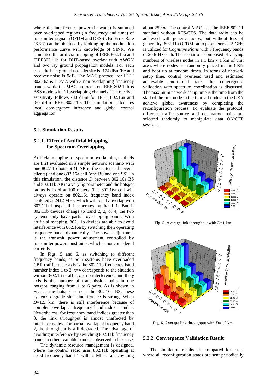where the interference power (in watts) is summed over overlapped regions (in frequency and time) of transmitted signals (OFDM and DSSS). Bit Error Rate (BER) can be obtained by looking up the modulation performance curve with knowledge of SINR. We simulated the artificial mapping of IEEE 802.16a and IEEE802.11b for DHT-based overlay with AWGN and two ray ground propagation models. For each case, the background nose density is -174 dBm/Hz and receiver noise is 9dB. The MAC protocol for IEEE 802.16a is TDMA with 3 non-overlapping frequency bands, while the MAC protocol for IEEE 802.11b is BSS mode with 11overlapping channels. The receiver sensitivity follows -80 dBm for IEEE 802.16a and -80 dBm IEEE 802.11b. The simulation calculates local convergence inference and global control aggregation.

#### **5.2. Simulation Results**

#### **5.2.1. Effect of Artificial Mapping for Spectrum Overlapping**

Artificial mapping for spectrum overlapping methods are first evaluated in a simple network scenario with one 802.11b hotspot (1 AP in the center and several clients) and one 802.16a cell (one BS and one SS). In this simulation, the distance *D* between 802.16a BS and 802.11b AP is a varying parameter and the hotspot radius is fixed at 100 meters. The 802.16a cell will always operate on 802.16a frequency band index centered at 2412 MHz, which will totally overlap with 802.11b hotspot if it operates on band 1. But if 802.11b devices change to band 2, 3, or 4, the two systems only have partial overlapping bands. With artificial mapping, 802.11b devices are able to avoid interference with 802.16a by switching their operating frequency bands dynamically. The power adjustment is the transmit power adjustment controlled by transmitter power constraints, which is not considered currently.

In Figs. 5 and 6, as switching to different frequency bands, as both systems have overloaded CBR traffic, the *x* axis is the 802.11b frequency band number index 1 to 3.  $x=4$  corresponds to the situation without 802.16a traffic, *i.e.* no interference, and the *y* axis is the number of transmission pairs in one hotspot, ranging from 1 to 6 pairs. As is shown in Fig. 5, the hotspot is near the 802.16a BS, these systems degrade since interference is strong. When *D*=1.5 km, there is still interference because of complete overlap at frequency band index 1 and 5. Nevertheless, for frequency band indices greater than 3, the link throughput is almost unaffected by interferer nodes. For partial overlap at frequency band 2, the throughput is still degraded. The advantage of avoiding interference by switching 802.11b frequency bands to other available bands is observed in this case.

The dynamic resource management is designed, where the control radio uses 802.11b operating at fixed frequency band 1 with 2 Mbps rate covering about 250 *m*. The control MAC uses the IEEE 802.11 standard without RTS/CTS. The data radio can be achieved with generic radios, but without loss of generality, 802.11a OFDM radio parameters at 5 GHz is utilized for *Cognitive Plane* with 8 frequency bands of 20 MHz each. The scenario is composed of varying numbers of wireless nodes in a 1 km  $\times$  1 km of unit area, where nodes are randomly placed in the CRN and boot up at random times. In terms of network setup time, control overhead used and estimated achievable end-to-end rate, the convergence validation with spectrum coordination is discussed. The maximum network setup time is the time from the start of the first node to the time all nodes in the CRN achieve global awareness by completing the reconfiguration process. To evaluate the protocol, different traffic source and destination pairs are selected randomly to manipulate data ON/OFF sessions.



**Fig. 5.** Average link throughput with *D*=1 km.



**Fig. 6.** Average link throughput with *D*=1.5 km.

#### **5.2.2. Convergence Validation Result**

The simulation results are compared for cases where all reconfiguration states are sent periodically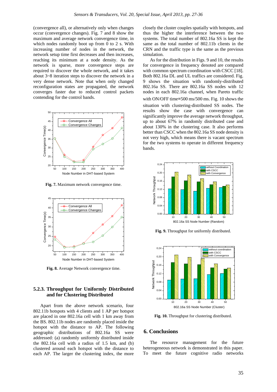(convergence all), or alternatively only when changes occur (convergence changes). Fig. 7 and 8 show the maximum and average network convergence time, in which nodes randomly boot up from 0 to 2 s. With increasing number of nodes in the network, the network setup time first decreases and then increases, reaching its minimum at a node density. As the network is sparse, more convergence steps are required to discover the whole network, and it takes about 3~8 iteration steps to discover the network in a very dense network. Note that when only changed reconfiguration states are propagated, the network converges faster due to reduced control packets contending for the control bands.



**Fig. 7.** Maximum network convergence time.



**Fig. 8.** Average Network convergence time.

#### **5.2.3. Throughput for Uniformly Distributed and for Clustering Distributed**

Apart from the above network scenario, four 802.11b hotspots with 4 clients and 1 AP per hotspot are placed in one 802.16a cell with 1 km away from the BS. 802.11b nodes are randomly placed inside the hotspot with the distance to AP. The following geographic distributions of 802.16a SS were addressed: (a) randomly uniformly distributed inside the 802.16a cell with a radius of 1.5 km, and (b) clustered around each hotspot with the distance to each AP. The larger the clustering index, the more

closely the cluster couples spatially with hotspots, and thus the higher the interference between the two systems. The total number of 802.16a SS is kept the same as the total number of 802.11b clients in the CRN and the traffic type is the same as the previous simulation.

As for the distribution in Figs. 9 and 10, the results for convergence in frequency denoted are compared with common spectrum coordination with CSCC [18]. Both 802.16a DL and UL traffics are considered. Fig. 9 shows the situation with randomly-distributed 802.16a SS. There are 802.16a SS nodes with 12 nodes in each 802.16a channel, when Pareto traffic with ON/OFF time=500 ms/500 ms. Fig. 10 shows the situation with clustering-distributed SS nodes. The results show the case with convergence can significantly improve the average network throughput, up to about 67% in randomly distributed case and about 130% in the clustering case. It also performs better than CSCC when the 802.16a SS node density is not very high, which means there is vacant spectrum for the two systems to operate in different frequency bands.



**Fig. 9.** Throughput for uniformly distributed.



**Fig. 10.** Throughput for clustering distributed.

#### **6. Conclusions**

The resource management for the future heterogeneous network is demonstrated in this paper. To meet the future cognitive radio networks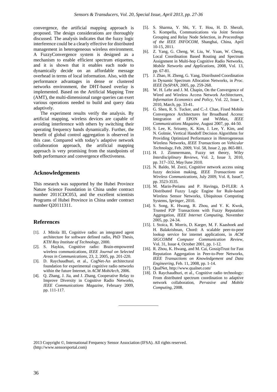convergence, the artificial mapping approach is proposed. The design considerations are thoroughly discussed. The analysis indicates that the fuzzy logic interference could be a clearly effective for distributed management in heterogeneous wireless environment. A FuzzyConvergence system is designed as a mechanism to enable efficient spectrum etiquettes, and it is shown that it enables each node to dynamically decide on an affordable message overhead in terms of local information. Also, with the performance advantages in dense or clustered networks environment, the DHT-based overlay is implemented. Based on the Artificial Mapping Tree (AMT), the multi-dimensional range queries can exert various operations needed to build and query data adaptively.

The experiment results verify the analysis. By artificial mapping, wireless devices are capable of avoiding interference with others by switching their operating frequency bands dynamically. Further, the benefit of global control aggregation is observed in this case. Compared with today's adaptive network collaboration approach, the artificial mapping approach is very promising from the standpoints of both performance and convergence effectiveness.

#### **Acknowledgements**

This research was supported by the Hubei Province Nature Science Foundation in China under contract number 2011CDC053, and the excellent scientists Programs of Hubei Province in China under contract number Q20111311.

#### **References**

- [1]. J. Mitola III, Cognitive radio: an integrated agent architecture for software defined radio, PhD Thesis, *KTH Roy Institute of Technology*, 2000.
- [2]. S. Haykin, Cognitive radio: Brain-empowered wireless communications, *IEEE Journal on Selected Areas in Communications*, 23, 2, 2005, pp. 201-220.
- [3]. D. Raychaudhuri, et al., CogNet-An architectural foundation for experimental cognitive radio networks within the future Internet, in *ACM MobiArch,* 2006.
- [4]. Q. Zhang, J. Jia, and J. Zhang, Cooperative Relay to Improve Diversity in Cognitive Radio Networks, *IEEE Communications Magazine*, February 2009, pp. 111-117.
- [5]. S. Sharma, Y. Shi, Y. T. Hou, H. D. Sherali, S. Kompella, Communications via Joint Session Grouping and Relay Node Selection, in *Proceedings of the IEEE INFOCOM*, Shanghai, China, April 10-15, 2011.
- [6]. Z. Yang, G. Cheng, W. Liu, W. Yuan, W. Cheng, Local Coordination Based Routing and Spectrum Assignment in Multi-hop Cognitive Radio Networks, *Mobile Networks and Applications*, 2008, Vol. 13, pp. 67-81.
- [7]. J. Zhao, H. Zheng, G. Yang, Distributed Coordination in Dynamic Spectrum Allocation Networks, in *Proc. IEEE DySPAN*, 2005, pp. 259-268.
- [8]. W. H. Lehr and J. M. Chapin, On the Convergence of Wired and Wireless Access Network Architectures, *Information Economics and Policy*, Vol. 22, Issue 1, 2010, March, pp. 33-41.
- [9]. G. Shen, R. S. Tucker, and C.-J. Chae, Fixed Mobile Convergence Architectures for Broadband Access: Integration of EPON and WiMax, *IEEE Communications Magazine*, August 2007, pp. 44-50.
- [10]. S. Lee, K. Sriramy, K. Kim, J. Lee, Y. Kim, and N. Golmie, Vertical Handoff Decision Algorithms for Providing Optimized Performance in Heterogeneous Wireless Networks, *IEEE Transactions on Vehicular Technology*, Feb. 2009, Vol. 58, Issue 2, pp. 865-881.
- [11]. H. J. Zimmermann, Fuzzy set theory, *Wiley Interdisciplinary Reviews*, Vol. 2, Issue 3, 2010, pp. 317–332, May/June 2010.
- [12]. N. Baldo, M. Zorzi, Cognitive network access using fuzzy decision making, *IEEE Transactions on Wireless Communications*, July 2009, Vol. 8, Issue7, pp. 3523-3535.
- [13]. M. Marin-Perianu and P. Havinga, D-FLER: A Distributed Fuzzy Logic Engine for Rule-based Wireless Sensor Networks, Ubiquitous Computing Systems*, Springer*, 2010.
- [14]. S. Song, K. Hwang, R. Zhou, and Y. K. Kwok, Trusted P2P Transactions with Fuzzy Reputation Aggregation, *IEEE Internet Computing*, November 2005, pp. 24-34.
- [15]. I. Stoica, R. Morris, D. Karger, M. F. Kaashoek and H. Balakrishnan, Chord: A scalable peer-to-peer lookup service for internet applications, in *ACM SIGCOMM Computer Communication Review*, Vol. 31, Issue 4, October 2001, pp. 1-12.
- [16]. R. Zhou, K. Hwang, and M. Cai, GossipTrust for Fast Reputation Aggregation in Peer-to-Peer Networks, *IEEE Transactions on Knowledgement and Data Engineering*, Feb. 11, 2008, pp. 1-14.
- [17]. QualNet, http://www.qualnet.com/
- [18]. D. Raychaudhuri, et al., Cognitive radio technology: From distributed spectrum coordination to adaptive network collaboration, *Pervasive and Mobile Computing*, 2008.

2013 Copyright ©, International Frequency Sensor Association (IFSA). All rights reserved. (http://www.sensorsportal.com)

\_\_\_\_\_\_\_\_\_\_\_\_\_\_\_\_\_\_\_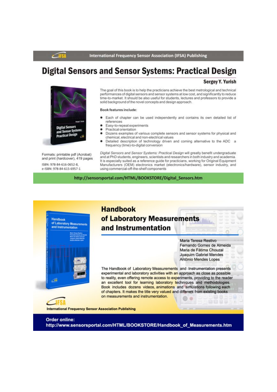**International Frequency Sensor Association (IFSA) Publishing** 

## **Digital Sensors and Sensor Systems: Practical Design**



Formats: printable pdf (Acrobat) and print (hardcover), 419 pages ISBN: 978-84-616-0652-8, e-ISBN: 978-84-615-6957-1

#### **Sergey Y. Yurish**

The goal of this book is to help the practicians achieve the best metrological and technical performances of digital sensors and sensor systems at low cost, and significantly to reduce time-to-market. It should be also useful for students, lectures and professors to provide a solid background of the novel concepts and design approach.

#### **Book features include:**

- Each of chapter can be used independently and contains its own detailed list of references
- Easy-to-repeat experiments
- Practical orientation
- Dozens examples of various complete sensors and sensor systems for physical and chemical, electrical and non-electrical values
- Detailed description of technology driven and coming alternative to the ADC a frequency (time)-to-digital conversion

Digital Sensors and Sensor Systems: Practical Design will greatly benefit undergraduate and at PhD students, engineers, scientists and researchers in both industry and academia. It is especially suited as a reference guide for practicians, working for Original Equipment Manufacturers (OEM) electronics market (electronics/hardware), sensor industry, and using commercial-off-the-shelf components

http://sensorsportal.com/HTML/BOOKSTORE/Digital Sensors.htm



**Order online:** http://www.sensorsportal.com/HTML/BOOKSTORE/Handbook of Measurements.htm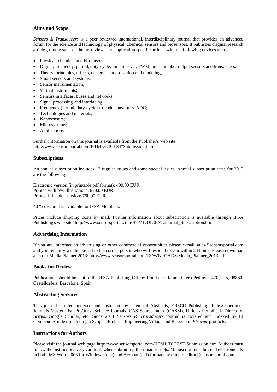#### **Aims and Scope**

*Sensors & Transducers* is a peer reviewed international, interdisciplinary journal that provides an advanced forum for the science and technology of physical, chemical sensors and biosensors. It publishes original research articles, timely state-of-the-art reviews and application specific articles with the following devices areas:

- Physical, chemical and biosensors;
- Digital, frequency, period, duty-cycle, time interval, PWM, pulse number output sensors and transducers;
- Theory, principles, effects, design, standardization and modeling;
- Smart sensors and systems;
- Sensor instrumentation;
- Virtual instruments;
- Sensors interfaces, buses and networks;
- Signal processing and interfacing;
- Frequency (period, duty-cycle)-to-code converters, ADC;
- Technologies and materials;
- Nanosensors;
- Microsystems;
- Applications.

Further information on this journal is available from the Publisher's web site: http://www.sensorsportal.com/HTML/DIGEST/Submission.htm

#### **Subscriptions**

An annual subscription includes 12 regular issues and some special issues. Annual subscription rates for 2013 are the following:

Electronic version (in printable pdf format): 400.00 EUR Printed with b/w illustrations: 640.00 EUR Printed full color version: 760.00 EUR

40 % discount is available for IFSA Members.

Prices include shipping costs by mail. Further information about subscription is available through IFSA Publishing's web site: http://www.sensorsportal.com/HTML/DIGEST/Journal\_Subscription.htm

#### **Advertising Information**

If you are interested in advertising or other commercial opportunities please e-mail sales@sensorsportal.com and your enquiry will be passed to the correct person who will respond to you within 24 hours. Please download also our Media Planner 2013: http://www.sensorsportal.com/DOWNLOADS/Media\_Planner\_2013.pdf

#### **Books for Review**

Publications should be sent to the IFSA Publishing Office: Ronda de Ramon Otero Pedrayo, 42C, 1-5, 08860, Castelldefels, Barcelona, Spain.

#### **Abstracting Services**

This journal is cited, indexed and abstracted by Chemical Abstracts, EBSCO Publishing, IndexCopernicus Journals Master List, ProQuest Science Journals, CAS Source Index (CASSI), Ulrich's Periodicals Directory, Scirus, Google Scholar, etc. Since 2011 *Sensors & Transducers* journal is covered and indexed by EI Compendex index (including a Scopus, Embase, Engineering Village and Reaxys) in *Elsevier* products.

#### **Instructions for Authors**

Please visit the journal web page http://www.sensorsportal.com/HTML/DIGEST/Submission.htm Authors must follow the instructions very carefully when submitting their manuscripts. Manuscript must be send electronically in both: MS Word 2003 for Windows (doc) and Acrobat (pdf) formats by e-mail: editor@sensorsportal.com